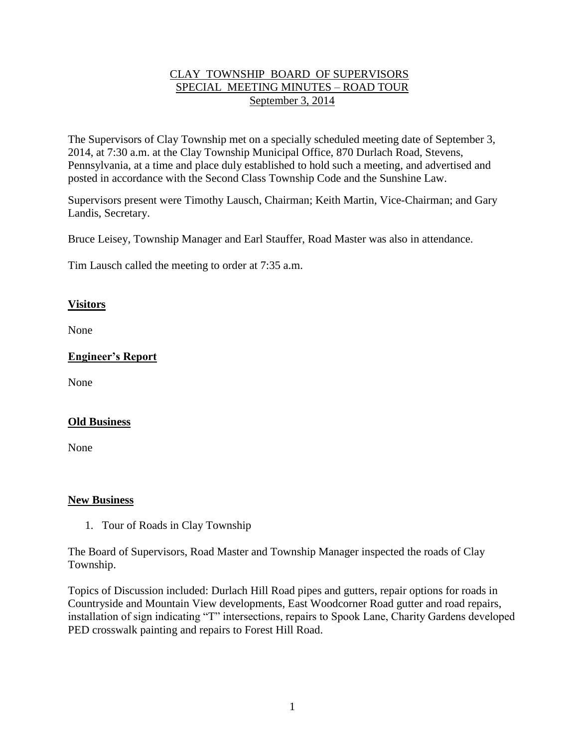### CLAY TOWNSHIP BOARD OF SUPERVISORS SPECIAL MEETING MINUTES – ROAD TOUR September 3, 2014

The Supervisors of Clay Township met on a specially scheduled meeting date of September 3, 2014, at 7:30 a.m. at the Clay Township Municipal Office, 870 Durlach Road, Stevens, Pennsylvania, at a time and place duly established to hold such a meeting, and advertised and posted in accordance with the Second Class Township Code and the Sunshine Law.

Supervisors present were Timothy Lausch, Chairman; Keith Martin, Vice-Chairman; and Gary Landis, Secretary.

Bruce Leisey, Township Manager and Earl Stauffer, Road Master was also in attendance.

Tim Lausch called the meeting to order at 7:35 a.m.

### **Visitors**

None

# **Engineer's Report**

None

## **Old Business**

None

#### **New Business**

1. Tour of Roads in Clay Township

The Board of Supervisors, Road Master and Township Manager inspected the roads of Clay Township.

Topics of Discussion included: Durlach Hill Road pipes and gutters, repair options for roads in Countryside and Mountain View developments, East Woodcorner Road gutter and road repairs, installation of sign indicating "T" intersections, repairs to Spook Lane, Charity Gardens developed PED crosswalk painting and repairs to Forest Hill Road.